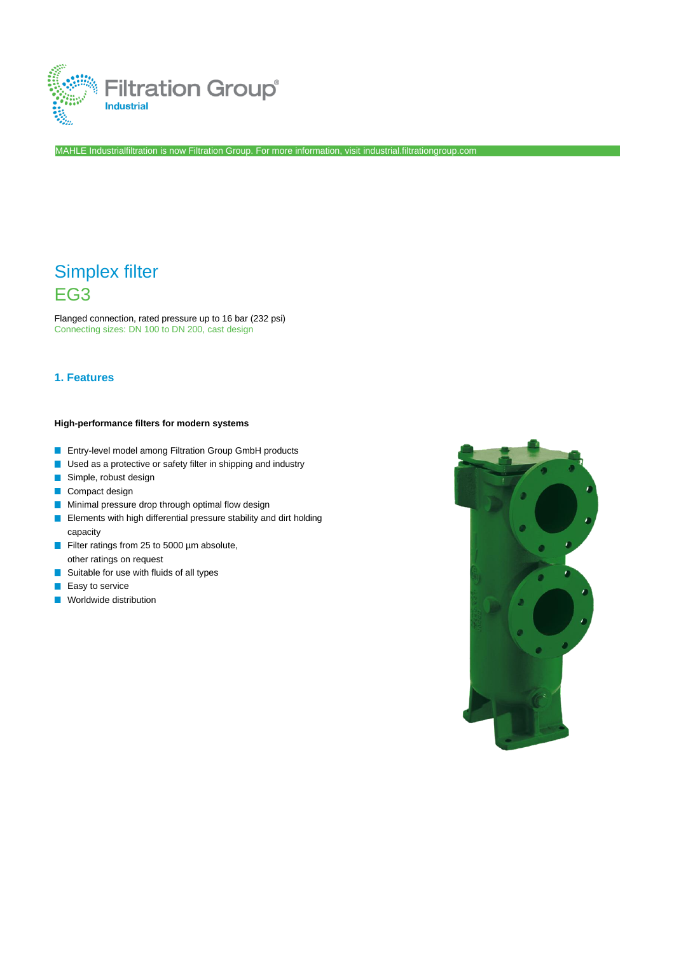

MAHLE Industrialfiltration is now Filtration Group. For more information, visit [industrial.filtrationgroup.com](http://www.fluid.filtrationgroup.com/)

# Simplex filter EG3

Flanged connection, rated pressure up to 16 bar (232 psi) Connecting sizes: DN 100 to DN 200, cast design

## **1. Features**

### **High-performance filters for modern systems**

- **Entry-level model among Filtration Group GmbH products**
- **Used as a protective or safety filter in shipping and industry**
- Simple, robust design
- **Compact design**
- **Minimal pressure drop through optimal flow design**
- **Elements with high differential pressure stability and dirt holding** capacity
- Filter ratings from 25 to 5000 µm absolute, other ratings on request
- Suitable for use with fluids of all types **Tale**
- $\mathcal{C}^{\mathcal{A}}$ Easy to service
- **Norldwide distribution**

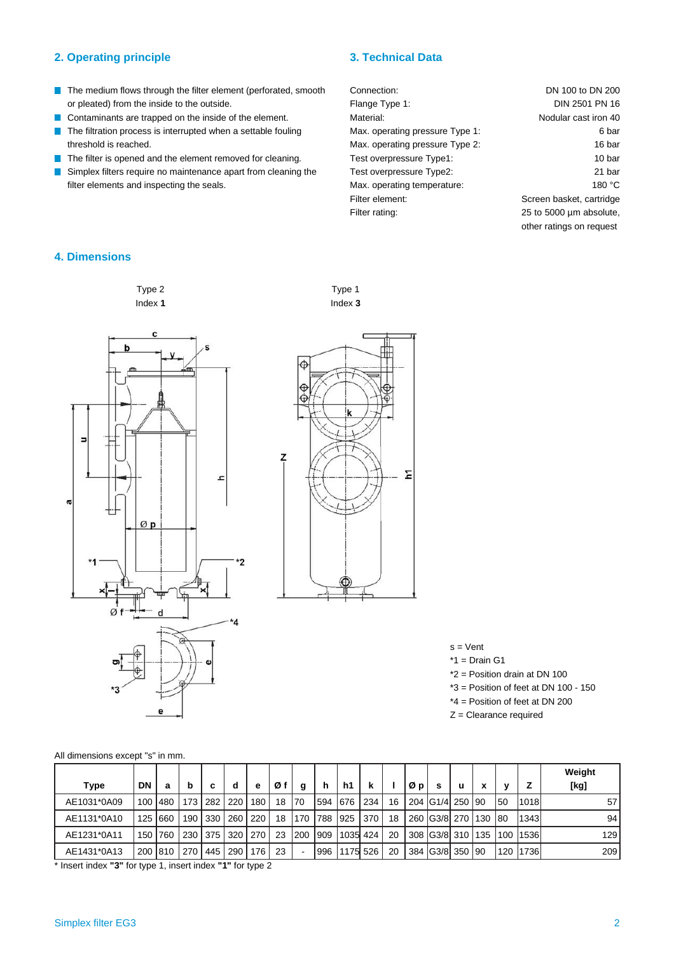# **2. Operating principle 3. Technical Data**

- The medium flows through the filter element (perforated, smooth or pleated) from the inside to the outside.
- Contaminants are trapped on the inside of the element.
- $\overline{\phantom{a}}$ The filtration process is interrupted when a settable fouling threshold is reached.
- The filter is opened and the element removed for cleaning.
- Simplex filters require no maintenance apart from cleaning the filter elements and inspecting the seals.
- Connection: Flange Type 1: Material: Max. operating pressure Type 1: Max. operating pressure Type 2: Test overpressure Type1: Test overpressure Type2: Max. operating temperature: Filter element: Filter rating: DN 100 to DN 200 DIN 2501 PN 16 Nodular cast iron 40 16 bar 10 bar 21 bar 180 °C Screen basket, cartridge 25 to 5000 µm absolute, other ratings on request

6 bar

# **4. Dimensions**

## Type 2 Index **1**

Type 1 Index **3**





 $s =$ Vent  $*1$  = Drain G1 \*2 = Position drain at DN 100 \*3 = Position of feet at DN 100 - 150 \*4 = Position of feet at DN 200 Z = Clearance required

| All dimensions except "s" in mm. |  |  |  |  |  |  |
|----------------------------------|--|--|--|--|--|--|
|----------------------------------|--|--|--|--|--|--|

|             |    |           |                  |             |                       |           |    |     |          |           |          |    |    |                 |          |     |     |       | Weight          |
|-------------|----|-----------|------------------|-------------|-----------------------|-----------|----|-----|----------|-----------|----------|----|----|-----------------|----------|-----|-----|-------|-----------------|
| <b>Type</b> | DN | а         | b                | c           | d                     | e         | Øf | g   | h        | h1        | <b>k</b> |    | ØD | s               | <b>u</b> | x   | v   |       | [kg]            |
| AE1031*0A09 |    | 100   480 | 173 <sup>1</sup> | 282         |                       | ∣220∣180∫ | 18 | 70  | 594  676 |           | 234      | 16 |    | 204 G1/4 250 90 |          |     | 50  | 1018  | 57 <sub>l</sub> |
| AE1131*0A10 |    | 125 660   | 190              | $\vert$ 330 | 260   220             |           | 18 | 170 | 788      | 925       | 370      | 18 |    | 260 G3/8 270    |          | 130 | 180 | 1343  | 94              |
| AE1231*0A11 |    | 150 760   |                  |             | 230   375   320   270 |           | 23 | 200 | 909      | 1035  424 |          | 20 |    | 308 G3/8 310    |          | 135 | 100 | 11536 | 129             |
| AE1431*0A13 |    |           | 200 810 270      | 445         | $\sqrt{290}$          | 176       | 23 |     | 996      | 1175 526  |          | 20 |    | 384 G3/8 350 90 |          |     | 120 | 1736  | 209             |

\* Insert index **"3"** for type 1, insert index **"1"** for type 2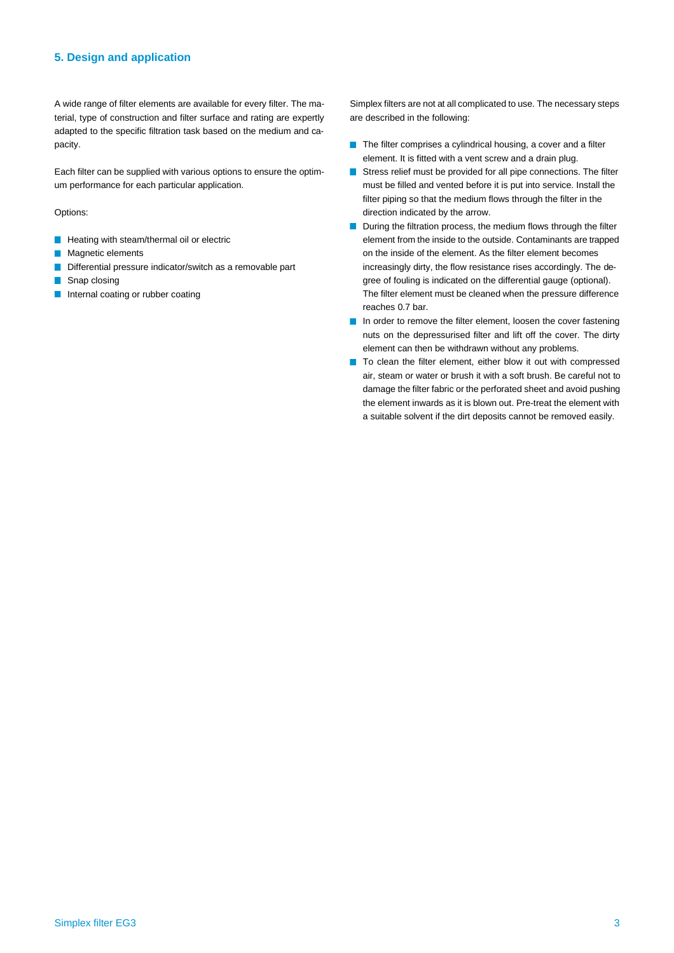### **5. Design and application**

A wide range of filter elements are available for every filter. The material, type of construction and filter surface and rating are expertly adapted to the specific filtration task based on the medium and capacity.

Each filter can be supplied with various options to ensure the optimum performance for each particular application.

Options:

- **Heating with steam/thermal oil or electric**
- **Magnetic elements**
- Differential pressure indicator/switch as a removable part
- Snap closing  $\Box$
- **Internal coating or rubber coating**

Simplex filters are not at all complicated to use. The necessary steps are described in the following:

- The filter comprises a cylindrical housing, a cover and a filter element. It is fitted with a vent screw and a drain plug.
- Stress relief must be provided for all pipe connections. The filter **Tale** must be filled and vented before it is put into service. Install the filter piping so that the medium flows through the filter in the direction indicated by the arrow.
- $\blacksquare$  During the filtration process, the medium flows through the filter element from the inside to the outside. Contaminants are trapped on the inside of the element. As the filter element becomes increasingly dirty, the flow resistance rises accordingly. The degree of fouling is indicated on the differential gauge (optional). The filter element must be cleaned when the pressure difference reaches 0.7 bar.
- In order to remove the filter element, loosen the cover fastening nuts on the depressurised filter and lift off the cover. The dirty element can then be withdrawn without any problems.
- To clean the filter element, either blow it out with compressed air, steam or water or brush it with a soft brush. Be careful not to damage the filter fabric or the perforated sheet and avoid pushing the element inwards as it is blown out. Pre-treat the element with a suitable solvent if the dirt deposits cannot be removed easily.